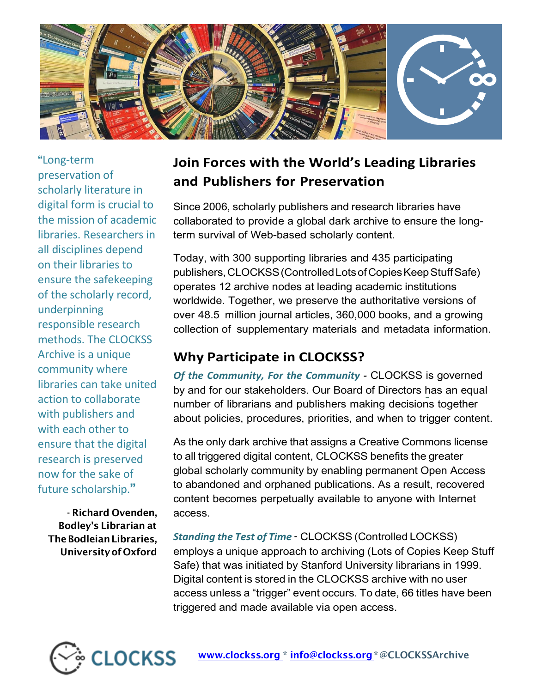

**"**Long-term preservation of scholarly literature in digital form is crucial to the mission of academic libraries. Researchers in all disciplines depend on their libraries to ensure the safekeeping of the scholarly record, underpinning responsible research methods. The CLOCKSS Archive is a unique community where libraries can take united action to collaborate with publishers and with each other to ensure that the digital research is preserved now for the sake of future scholarship.**"**

**- Richard Ovenden, Bodley's Librarian at The Bodleian Libraries, University of Oxford**

## **Join Forces with the World's Leading Libraries and Publishers for Preservation**

Since 2006, scholarly publishers and research libraries have collaborated to provide a global dark archive to ensure the longterm survival of Web-based scholarly content.

Today, with 300 supporting libraries and 435 participating publishers,CLOCKSS (Controlled Lots ofCopiesKeep Stuff Safe) operates 12 archive nodes at leading academic institutions worldwide. Together, we preserve the authoritative versions of over 48.5 million journal articles, 360,000 books, and a growing collection of supplementary materials and metadata information.

## **Why Participate in CLOCKSS?**

*Of the Community, For the Community -* CLOCKSS is governed by and for our stakeholders. Our Board of Directors has an equal number of librarians and publishers making decisions together about policies, procedures, priorities, and when to trigger content.

As the only dark archive that assigns a Creative Commons license to all triggered digital content, CLOCKSS benefits the greater global scholarly community by enabling permanent Open Access to abandoned and orphaned publications. As a result, recovered content becomes perpetually available to anyone with Internet access.

*Standing the Test of Time* **-** CLOCKSS (Controlled LOCKSS) employs a unique approach to archiving (Lots of Copies Keep Stuff Safe) that was initiated by Stanford University librarians in 1999. Digital content is stored in the CLOCKSS archive with no user access unless a "trigger" event occurs. To date, 66 titles have been triggered and made available via open access.